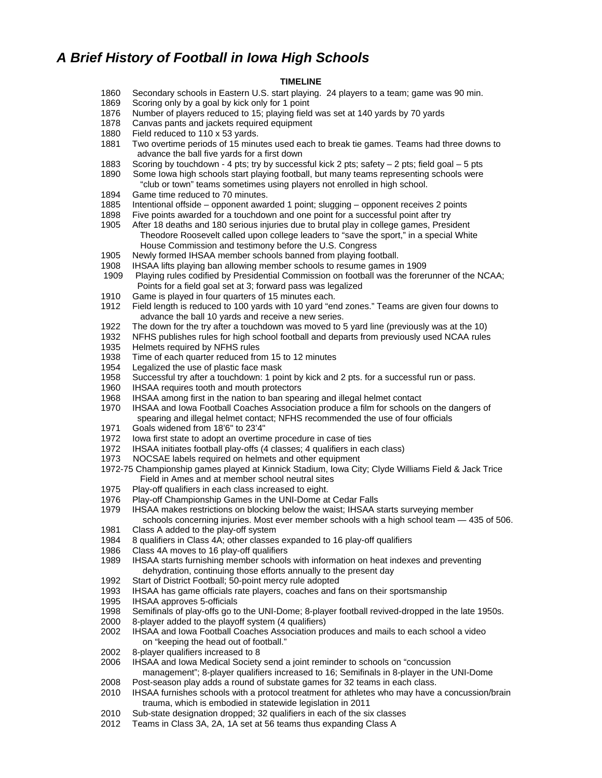## *A Brief History of Football in Iowa High Schools*

## **TIMELINE**

- 1860 Secondary schools in Eastern U.S. start playing. 24 players to a team; game was 90 min.
- 1869 Scoring only by a goal by kick only for 1 point
- 1876 Number of players reduced to 15; playing field was set at 140 yards by 70 yards
- 1878 Canvas pants and jackets required equipment
- 1880 Field reduced to 110 x 53 yards.
- 1881 Two overtime periods of 15 minutes used each to break tie games. Teams had three downs to advance the ball five yards for a first down
- 1883 Scoring by touchdown 4 pts; try by successful kick 2 pts; safety 2 pts; field goal 5 pts
- 1890 Some Iowa high schools start playing football, but many teams representing schools were "club or town" teams sometimes using players not enrolled in high school.
- 1894 Game time reduced to 70 minutes.
- 1885 Intentional offside opponent awarded 1 point; slugging opponent receives 2 points
- 1898 Five points awarded for a touchdown and one point for a successful point after try
- 1905 After 18 deaths and 180 serious injuries due to brutal play in college games, President Theodore Roosevelt called upon college leaders to "save the sport," in a special White House Commission and testimony before the U.S. Congress
- 1905 Newly formed IHSAA member schools banned from playing football.
- 1908 IHSAA lifts playing ban allowing member schools to resume games in 1909
- 1909 Playing rules codified by Presidential Commission on football was the forerunner of the NCAA; Points for a field goal set at 3; forward pass was legalized
- 1910 Game is played in four quarters of 15 minutes each.
- 1912 Field length is reduced to 100 yards with 10 yard "end zones." Teams are given four downs to advance the ball 10 yards and receive a new series.
- 1922 The down for the try after a touchdown was moved to 5 yard line (previously was at the 10)
- 1932 NFHS publishes rules for high school football and departs from previously used NCAA rules
- 1935 Helmets required by NFHS rules
- 1938 Time of each quarter reduced from 15 to 12 minutes
- 1954 Legalized the use of plastic face mask
- 1958 Successful try after a touchdown: 1 point by kick and 2 pts. for a successful run or pass.
- 1960 IHSAA requires tooth and mouth protectors
- 1968 IHSAA among first in the nation to ban spearing and illegal helmet contact
- 1970 IHSAA and Iowa Football Coaches Association produce a film for schools on the dangers of spearing and illegal helmet contact; NFHS recommended the use of four officials
- 1971 Goals widened from 18'6" to 23'4"
- 1972 Iowa first state to adopt an overtime procedure in case of ties
- 1972 IHSAA initiates football play-offs (4 classes; 4 qualifiers in each class)
- 1973 NOCSAE labels required on helmets and other equipment
- 1972-75 Championship games played at Kinnick Stadium, Iowa City; Clyde Williams Field & Jack Trice Field in Ames and at member school neutral sites
- 1975 Play-off qualifiers in each class increased to eight.
- 
- 1976 Play-off Championship Games in the UNI-Dome at Cedar Falls<br>1979 HISAA makes restrictions on blocking below the waist; IHSAA s 1979 IHSAA makes restrictions on blocking below the waist; IHSAA starts surveying member
- schools concerning injuries. Most ever member schools with a high school team 435 of 506. 1981 Class A added to the play-off system
- 1984 8 qualifiers in Class 4A; other classes expanded to 16 play-off qualifiers
- 1986 Class 4A moves to 16 play-off qualifiers
- 1989 IHSAA starts furnishing member schools with information on heat indexes and preventing dehydration, continuing those efforts annually to the present day
- 1992 Start of District Football; 50-point mercy rule adopted
- 1993 IHSAA has game officials rate players, coaches and fans on their sportsmanship
- 1995 IHSAA approves 5-officials
- 1998 Semifinals of play-offs go to the UNI-Dome; 8-player football revived-dropped in the late 1950s.
- 2000 8-player added to the playoff system (4 qualifiers)
- 2002 IHSAA and Iowa Football Coaches Association produces and mails to each school a video on "keeping the head out of football."
- 2002 8-player qualifiers increased to 8
- 2006 IHSAA and Iowa Medical Society send a joint reminder to schools on "concussion
- management"; 8-player qualifiers increased to 16; Semifinals in 8-player in the UNI-Dome 2008 Post-season play adds a round of substate games for 32 teams in each class.
- 2010 IHSAA furnishes schools with a protocol treatment for athletes who may have a concussion/brain trauma, which is embodied in statewide legislation in 2011
- 2010 Sub-state designation dropped; 32 qualifiers in each of the six classes
- 2012 Teams in Class 3A, 2A, 1A set at 56 teams thus expanding Class A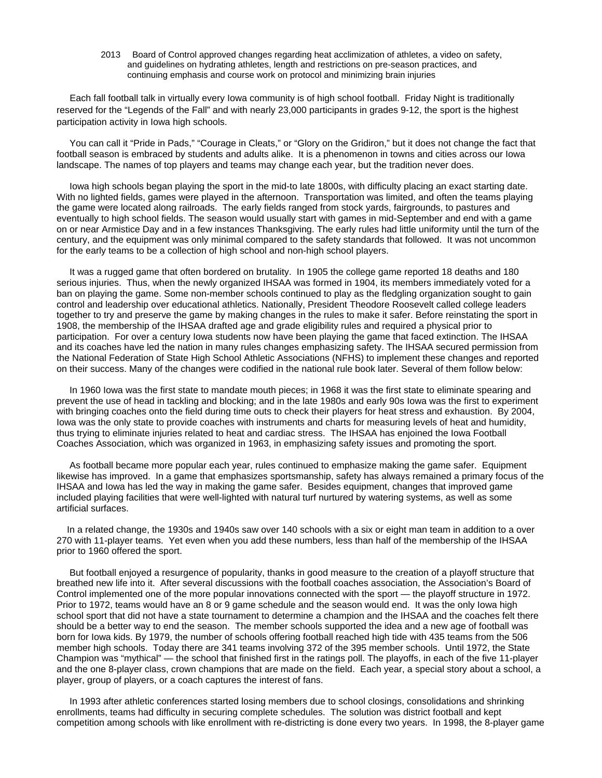2013 Board of Control approved changes regarding heat acclimization of athletes, a video on safety, and guidelines on hydrating athletes, length and restrictions on pre-season practices, and continuing emphasis and course work on protocol and minimizing brain injuries

 Each fall football talk in virtually every Iowa community is of high school football. Friday Night is traditionally reserved for the "Legends of the Fall" and with nearly 23,000 participants in grades 9-12, the sport is the highest participation activity in Iowa high schools.

 You can call it "Pride in Pads," "Courage in Cleats," or "Glory on the Gridiron," but it does not change the fact that football season is embraced by students and adults alike. It is a phenomenon in towns and cities across our Iowa landscape. The names of top players and teams may change each year, but the tradition never does.

 Iowa high schools began playing the sport in the mid-to late 1800s, with difficulty placing an exact starting date. With no lighted fields, games were played in the afternoon. Transportation was limited, and often the teams playing the game were located along railroads. The early fields ranged from stock yards, fairgrounds, to pastures and eventually to high school fields. The season would usually start with games in mid-September and end with a game on or near Armistice Day and in a few instances Thanksgiving. The early rules had little uniformity until the turn of the century, and the equipment was only minimal compared to the safety standards that followed. It was not uncommon for the early teams to be a collection of high school and non-high school players.

 It was a rugged game that often bordered on brutality. In 1905 the college game reported 18 deaths and 180 serious injuries. Thus, when the newly organized IHSAA was formed in 1904, its members immediately voted for a ban on playing the game. Some non-member schools continued to play as the fledgling organization sought to gain control and leadership over educational athletics. Nationally, President Theodore Roosevelt called college leaders together to try and preserve the game by making changes in the rules to make it safer. Before reinstating the sport in 1908, the membership of the IHSAA drafted age and grade eligibility rules and required a physical prior to participation. For over a century Iowa students now have been playing the game that faced extinction. The IHSAA and its coaches have led the nation in many rules changes emphasizing safety. The IHSAA secured permission from the National Federation of State High School Athletic Associations (NFHS) to implement these changes and reported on their success. Many of the changes were codified in the national rule book later. Several of them follow below:

 In 1960 Iowa was the first state to mandate mouth pieces; in 1968 it was the first state to eliminate spearing and prevent the use of head in tackling and blocking; and in the late 1980s and early 90s Iowa was the first to experiment with bringing coaches onto the field during time outs to check their players for heat stress and exhaustion. By 2004, Iowa was the only state to provide coaches with instruments and charts for measuring levels of heat and humidity, thus trying to eliminate injuries related to heat and cardiac stress. The IHSAA has enjoined the Iowa Football Coaches Association, which was organized in 1963, in emphasizing safety issues and promoting the sport.

 As football became more popular each year, rules continued to emphasize making the game safer. Equipment likewise has improved. In a game that emphasizes sportsmanship, safety has always remained a primary focus of the IHSAA and Iowa has led the way in making the game safer. Besides equipment, changes that improved game included playing facilities that were well-lighted with natural turf nurtured by watering systems, as well as some artificial surfaces.

 In a related change, the 1930s and 1940s saw over 140 schools with a six or eight man team in addition to a over 270 with 11-player teams. Yet even when you add these numbers, less than half of the membership of the IHSAA prior to 1960 offered the sport.

 But football enjoyed a resurgence of popularity, thanks in good measure to the creation of a playoff structure that breathed new life into it. After several discussions with the football coaches association, the Association's Board of Control implemented one of the more popular innovations connected with the sport — the playoff structure in 1972. Prior to 1972, teams would have an 8 or 9 game schedule and the season would end. It was the only Iowa high school sport that did not have a state tournament to determine a champion and the IHSAA and the coaches felt there should be a better way to end the season. The member schools supported the idea and a new age of football was born for Iowa kids. By 1979, the number of schools offering football reached high tide with 435 teams from the 506 member high schools. Today there are 341 teams involving 372 of the 395 member schools. Until 1972, the State Champion was "mythical" — the school that finished first in the ratings poll. The playoffs, in each of the five 11-player and the one 8-player class, crown champions that are made on the field. Each year, a special story about a school, a player, group of players, or a coach captures the interest of fans.

 In 1993 after athletic conferences started losing members due to school closings, consolidations and shrinking enrollments, teams had difficulty in securing complete schedules. The solution was district football and kept competition among schools with like enrollment with re-districting is done every two years. In 1998, the 8-player game